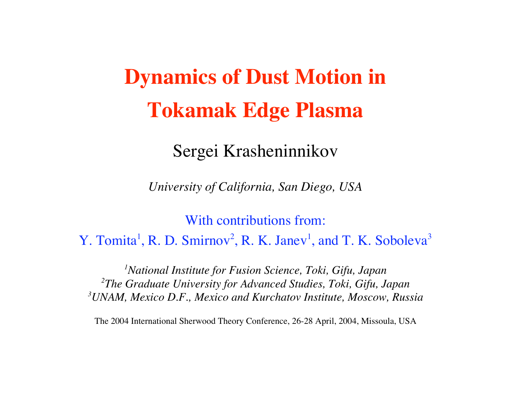# **Dynamics of Dust Motion in Tokamak Edge Plasma**

Sergei Krasheninnikov

*University of California, San Diego, USA*

With contributions from: Y. Tomita<sup>1</sup>, R. D. Smirnov<sup>2</sup>, R. K. Janev<sup>1</sup>, and T. K. Soboleva<sup>3</sup>

*1National Institute for Fusion Science, Toki, Gifu, Japan 2The Graduate University for Advanced Studies, Toki, Gifu, Japan 3UNAM, Mexico D.F., Mexico and Kurchatov Institute, Moscow, Russia*

The 2004 International Sherwood Theory Conference, 26-28 April, 2004, Missoula, USA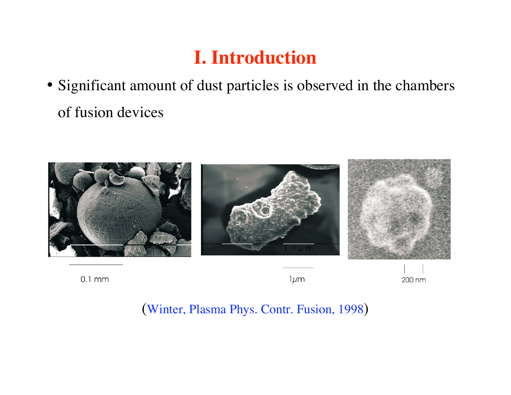# **I. Introduction**

• Significant amount of dust particles is observed in the chambers of fusion devices



 $0.1$  mm

 $1 \mu m$ 

200 nm

(Winter, Plasma Phys. Contr. Fusion, 1998)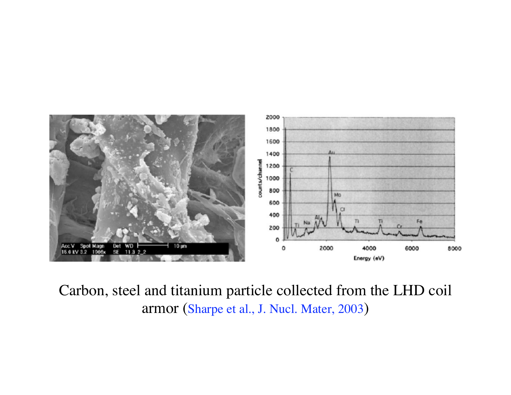

Carbon, steel and titanium particle collected from the LHD coil armor (Sharpe et al., J. Nucl. Mater, 2003 )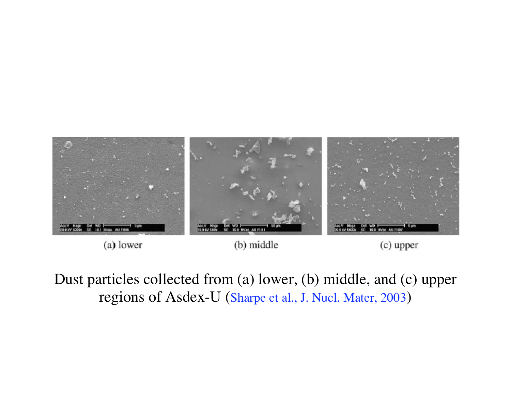

(a) lower

(b) middle

(c) upper

Dust particles collected from (a) lower, (b) middle, and (c) upper regions of Asdex-U (Sharpe et al., J. Nucl. Mater, 2003 )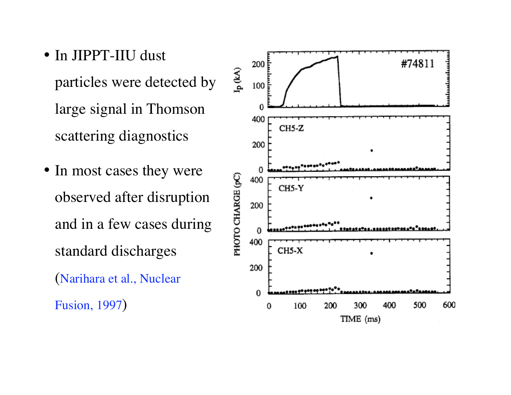- In JIPPT-IIU dust particles were detected by large signal in Thomson scattering diagnostics
- In most cases they were observed after disruption and in a few cases during standard discharges (Narihara et al., Nuclear

Fusion, 1997 )

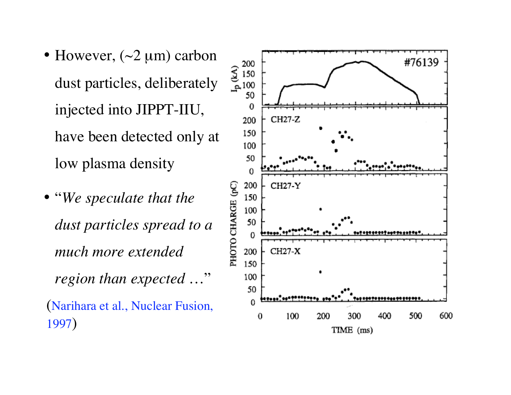- However,  $(\sim 2 \mu m)$  carbon dust particles, deliberately injected into JIPPT-IIU, have been detected only at low plasma density
- "*We speculate that the dust particles spread to a much more extended region than expected* …" (Narihara et al., Nuclear Fusion, 1997 )

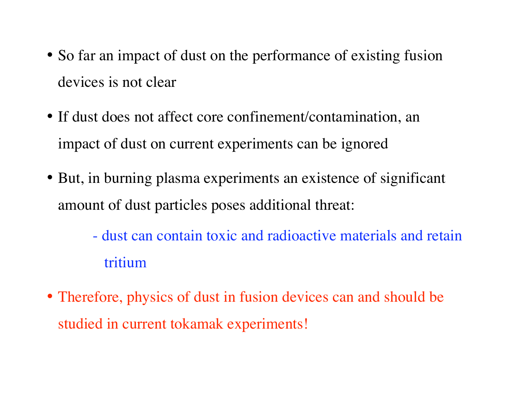- So far an impact of dust on the performance of existing fusion devices is not clear
- If dust does not affect core confinement/contamination, an impact of dust on current experiments can be ignored
- But, in burning plasma experiments an existence of significant amount of dust particles poses additional threat:
	- dust can contain toxic and radioactive materials and retain tritium
- Therefore, physics of dust in fusion devices can and should be studied in current tokamak experiments!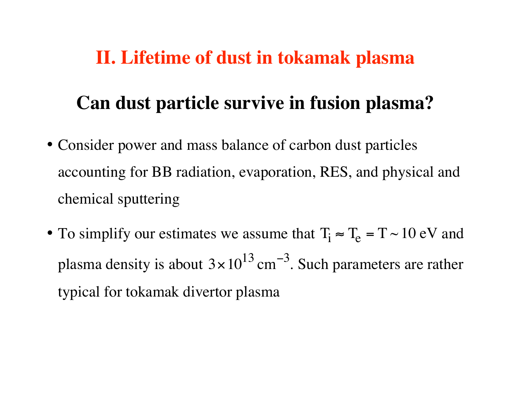### **II. Lifetime of dust in tokamak plasma**

# **Can dust particle survive in fusion plasma?**

- Consider power and mass balance of carbon dust particles accounting for BB radiation, evaporation, RES, and physical and chemical sputtering
- To simplify our estimates we assume that  $T_i \approx T_e = T \sim 10 \text{ eV}$  and plasma density is about  $3 \times 10^{13}$  cm −  $^3$ . Such parameters are rather typical for tokamak divertor plasma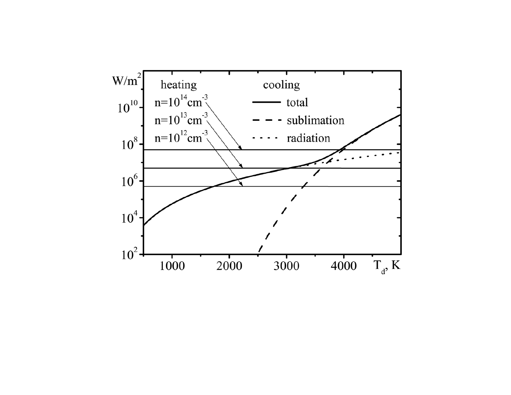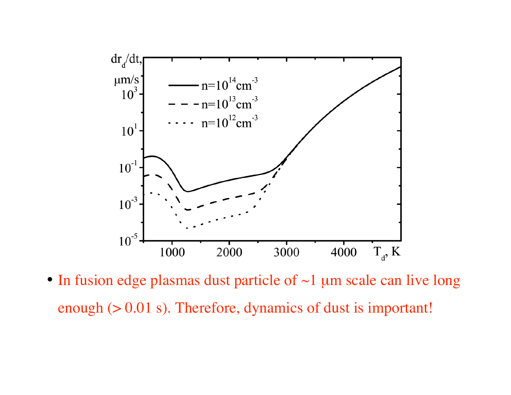

• In fusion edge plasmas dust particle of ~1 µm scale can live long enough (> 0.01 s). Therefore, dynamics of dust is important!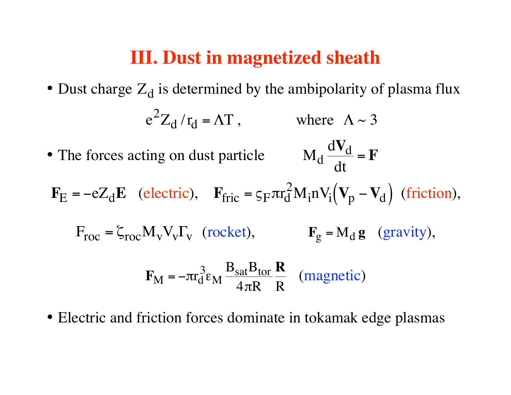### **III. Dust in magnetized sheath**

- Dust charge  $Z_d$  is determined by the ambipolarity of plasma flux e 2  $Z_d / r_d = \Lambda T$ , where  $\Lambda \sim 3$ • The forces acting on dust particle  $\rm M_d$  $\rm dV_{d}$ dt = **F**  $\mathbf{F}_{\rm E} = -eZ_{\rm d}\mathbf{E}$  (electric),  $\mathbf{F}_{\rm fric} = \varsigma_{\rm F} \pi r_{\rm d}^2$ 2  $M_i n V_i (V_p - V_d)$ − V<sub>d</sub>) (friction),  $F_{\text{roc}} = \zeta_{\text{roc}} M_{\text{v}} V_{\text{v}} F_{\text{v}}$  (rocket),  $F_{\text{g}} = M_{\text{d}} g$  (gravity),  $\mathbf{F}_\mathrm{M}$  =  $-\pi \mathrm{r}_{\mathrm{d}}$ 3  $\epsilon_{\mathrm{M}}$  $\text{B}_{\rm sat} \text{B}_{\rm tor}$  $4\pi \mathrm{R}$ **R** R (magnetic )
- Electric and friction forces dominate in tokamak edge plasmas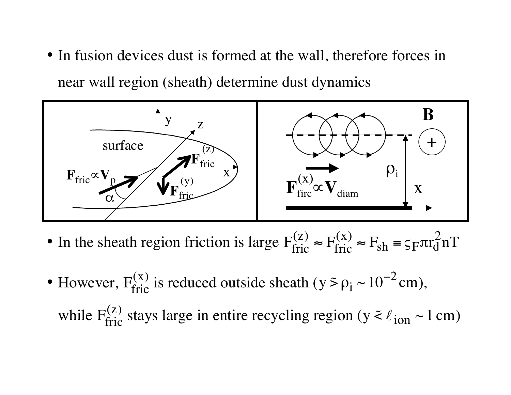• In fusion devices dust is formed at the wall, therefore forces in near wall region (sheath) determine dust dynamics



- In the sheath region friction is large  $F_{\text{fric}}^{(z)}$ ≈  $\rm F^{(x)}_{fric}$  $\approx$   $F_{\rm sh}$  =  $\varsigma$ <sub>F</sub> $\pi r_{\rm d}^2$ nT
- However,  $F_{\text{fric}}^{(x)}$  is reduced outside sheath ( $y \lessdot \rho_i \sim 10^{-1}$  $^{2}$  cm), while  $F_{\text{fric}}^{(z)}$  stays large in entire recycling region (y  $\approx \ell_{\text{ion}} \sim 1 \text{ cm}$ )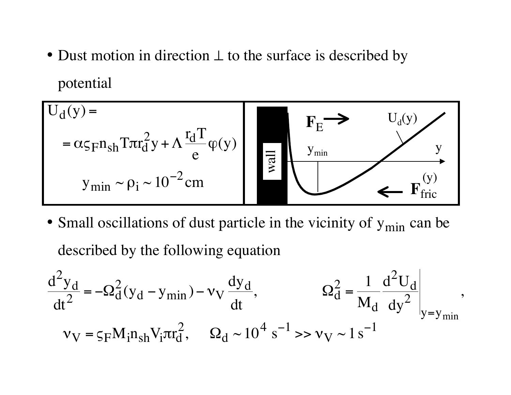• Dust motion in direction  $\perp$  to the surface is described by potential

$$
U_{d}(y) = \n\begin{array}{c}\nU_{d}(y) = \\
-\alpha \zeta_{F} n_{sh} \text{Tr}^{2} y + \Lambda \frac{r_{d} T}{e} \varphi(y)\n\end{array}\n\qquad\n\begin{array}{c}\nF_{E} \longrightarrow U_{d}(y) \\
\frac{y_{min}}{g} \longrightarrow y \\
\frac{y_{min}}{g} \longrightarrow y\n\end{array}
$$

• Small oscillations of dust particle in the vicinity of  $y_{\text{min}}$  can be described by the following equation

$$
\frac{d^2 y_d}{dt^2} = -\Omega_d^2 (y_d - y_{min}) - v_V \frac{dy_d}{dt}, \qquad \Omega_d^2 = \frac{1}{M_d} \frac{d^2 U_d}{dy^2}\Big|_{y = y_{min}},
$$
  

$$
v_V = \varsigma_F M_i n_{sh} V_i \pi r_d^2, \qquad \Omega_d \sim 10^4 \text{ s}^{-1} >> v_V \sim 1 \text{ s}^{-1}
$$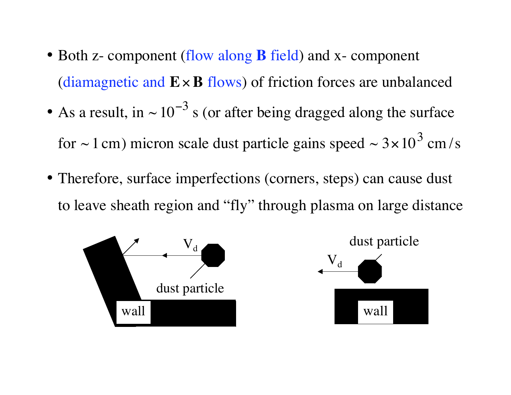- Both z- component (flow along **B** field) and x- component (diamagnetic and **E**×**B** flows) of friction forces are unbalanced
- •• As a result, in  $\sim 10^{-3}$  s (or after being dragged along the surface for  $\sim$  1 cm) micron scale dust particle gains speed  $\sim$  3  $\times$  10<sup>3</sup> cm/s
- Therefore, surface imperfections (corners, steps) can cause dust to leave sheath region and "fly" through plasma on large distance

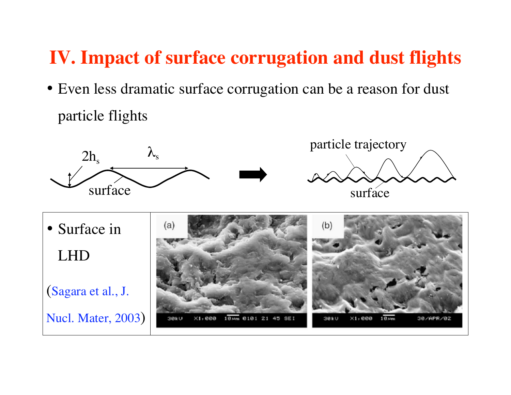## **IV. Impact of surface corrugation and dust flights**

• Even less dramatic surface corrugation can be a reason for dust particle flights

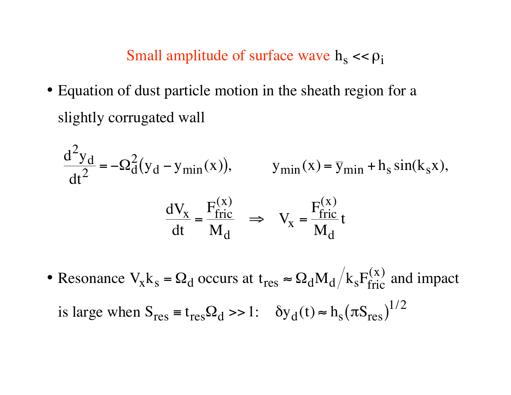#### Small amplitude of surface wave  $h_s < \rho_i$

• Equation of dust particle motion in the sheath region for a slightly corrugated wall

$$
\frac{d^2 y_d}{dt^2} = -\Omega_d^2 (y_d - y_{min}(x)), \qquad y_{min}(x) = \overline{y}_{min} + h_s \sin(k_s x),
$$

$$
\frac{dV_x}{dt} = \frac{F_{fric}^{(x)}}{M_d} \implies V_x = \frac{F_{fric}^{(x)}}{M_d} t
$$

• Resonance  $V_x k_s = \Omega_d$  occurs at  $t_{res} \approx \Omega_d M_d / k_s F_{fric}^{(x)}$  and impact is large when  $S_{res} = t_{res} \Omega_d >> 1$ :  $\delta y_d(t) \approx h_s (\pi S_{res})^{1/2}$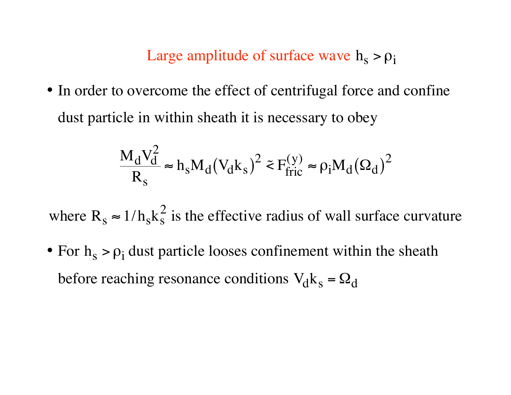#### Large amplitude of surface wave  $h_s > \rho_i$

• In order to overcome the effect of centrifugal force and confine dust particle in within sheath it is necessary to obey

$$
\frac{M_d V_d^2}{R_s} \approx h_s M_d (V_d k_s)^2 \tilde{=} F_{\text{fric}}^{(y)} \approx \rho_i M_d (\Omega_d)^2
$$

where  $R_s \approx 1/h_s k_s^2$  is the effective radius of wall surface curvature

• For  $h_s > \rho_i$  dust particle looses confinement within the sheath before reaching resonance conditions  $V_d k_s = \Omega_d$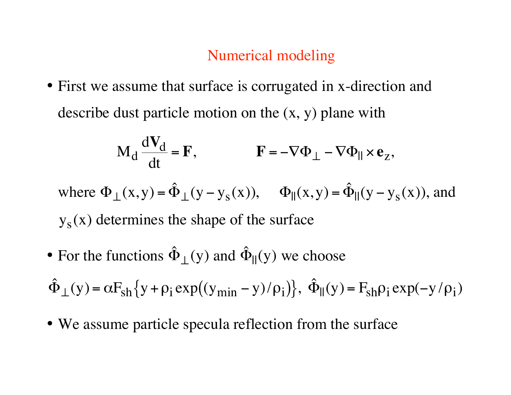#### Numerical modeling

• First we assume that surface is corrugated in x-direction and describe dust particle motion on the (x, y) plane with

$$
M_d \frac{dV_d}{dt} = F, \qquad F = -\nabla \Phi_{\perp} - \nabla \Phi_{\parallel} \times e_z,
$$

where  $\Phi_+(x,y) = \hat{\Phi}_+(y - y_s(x)), \quad \Phi_{\parallel}(x,y) = \hat{\Phi}_{\parallel}(y - y_s(x)),$  and  $y_s(x)$  determines the shape of the surface

•• For the functions  $\hat{\Phi}_{\perp}(y)$  and  $\hat{\Phi}_{\parallel}(y)$  we choose

 $\hat{\Phi}_{\perp}(y) = \alpha F_{sh} \{ y + \rho_i \exp((y_{min} - y)/\rho_i) \}, \hat{\Phi}_{\parallel}(y) = F_{sh} \rho_i \exp(-y/\rho_i)$ 

• We assume particle specula reflection from the surface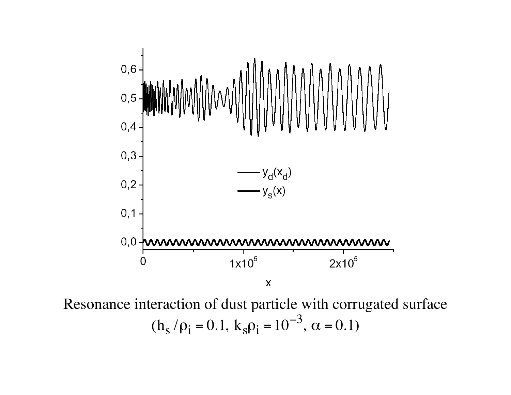

Resonance interaction of dust particle with corrugated surface  $(h_s/\rho_i = 0.1, k_s \rho_i = 10^{-3})$ ,  $\alpha = 0.1$ )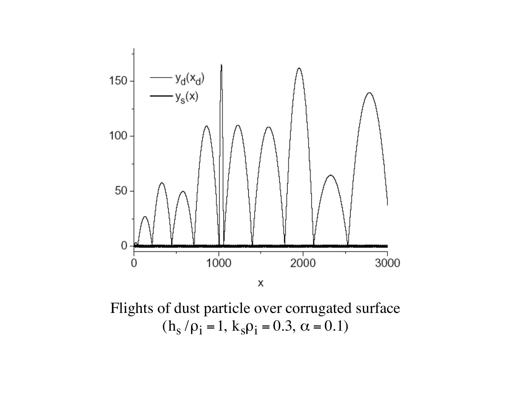

Flights of dust particle over corrugated surface  $(h_s/\rho_i = 1, k_s \rho_i = 0.3, \alpha = 0.1)$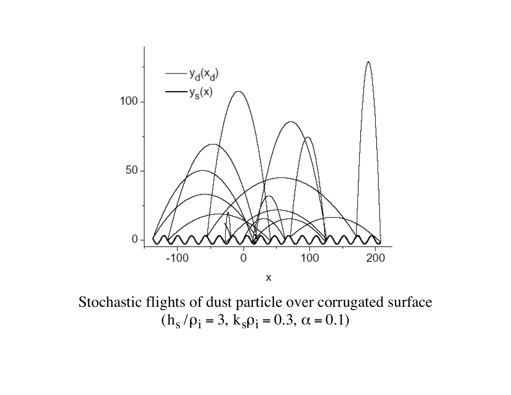

Stochastic flights of dust particle over corrugated surface  $(h_s/\rho_i = 3, k_s\rho_i = 0.3, \alpha = 0.1)$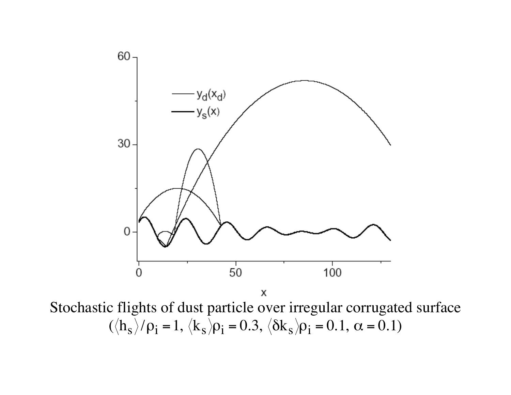

Stochastic flights of dust particle over irregular corrugated surface  $(\langle h_s \rangle / \rho_i = 1, \langle k_s \rangle \rho_i = 0.3, \langle \delta k_s \rangle \rho_i = 0.1, \alpha = 0.1)$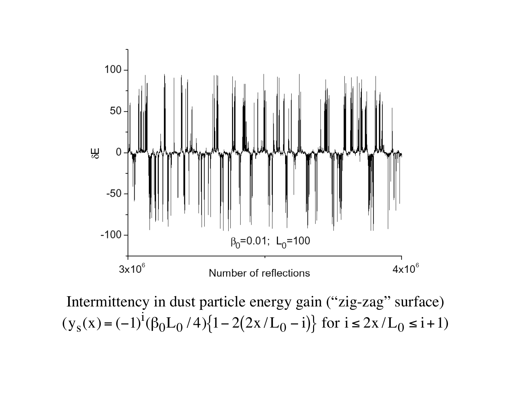

Intermittency in dust particle energy gain ("zig-zag" surface)  $(y_S(x))$  $= (-1)$ i  $(\beta_0 L_0 / 4)$ {1-2(2x/L<sub>0</sub>-i)}  $- i$ } for  $i \le 2x/L_0 \le i + 1$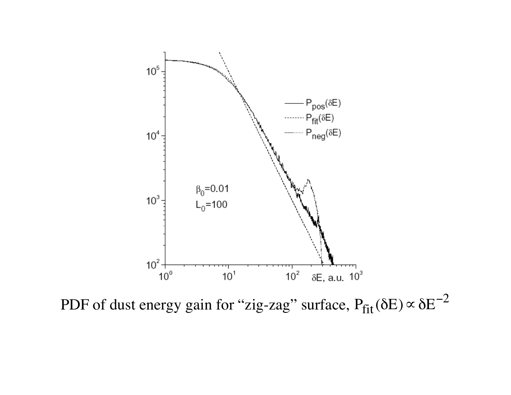

PDF of dust energy gain for "zig-zag" surface,  $P_{fit}(\delta E) \propto \delta E^{-2}$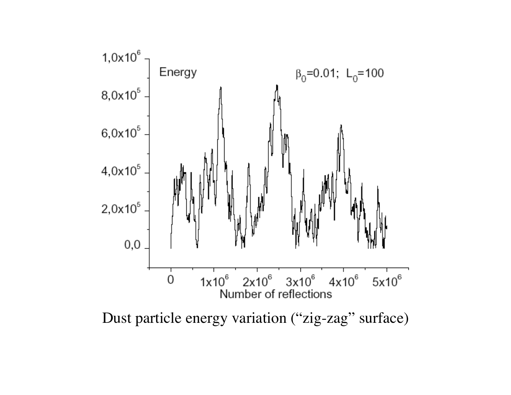

Dust particle energy variation ("zig-zag" surface)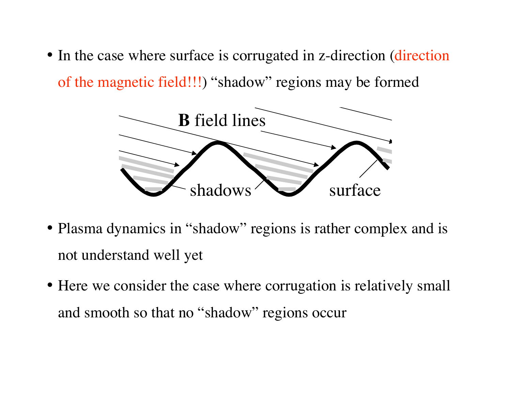• In the case where surface is corrugated in z-direction (direction) of the magnetic field!!!) "shadow" regions may be formed



- Plasma dynamics in "shadow" regions is rather complex and is not understand well yet
- Here we consider the case where corrugation is relatively small and smooth so that no "shadow" regions occur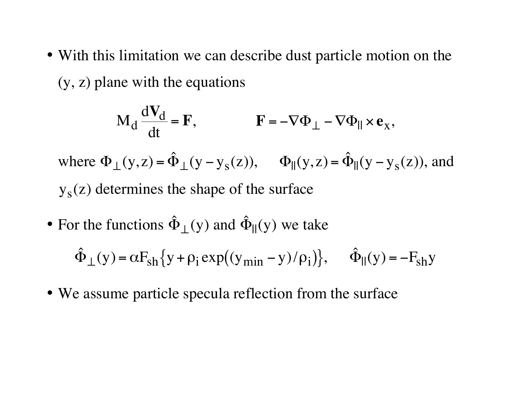• With this limitation we can describe dust particle motion on the (y, z) plane with the equations

$$
M_d \frac{dV_d}{dt} = F, \qquad \qquad F = -\nabla \Phi_{\perp} - \nabla \Phi_{\parallel} \times e_x,
$$

where  $\Phi_{\perp}(y,z)$  $=\hat{\Phi}_{\perp}(y)$  $-y_S(z)$ ),  $\Phi_{\parallel}(y, z)$ = $=\hat{\Phi}_{\parallel}(y)$  $-y_{S}(z)$ ), and y<sub>s</sub>(z) determines the shape of the surface

• For the functions  $\hat{\Phi}_{\perp}(y)$  and  $\hat{\Phi}_{\parallel}(y)$  we take

$$
\hat{\Phi}_{\perp}(y) = \alpha F_{sh} \{ y + \rho_i \exp((y_{min} - y)/\rho_i) \}, \quad \hat{\Phi}_{\parallel}(y) = -F_{sh} y
$$

• We assume particle specula reflection from the surface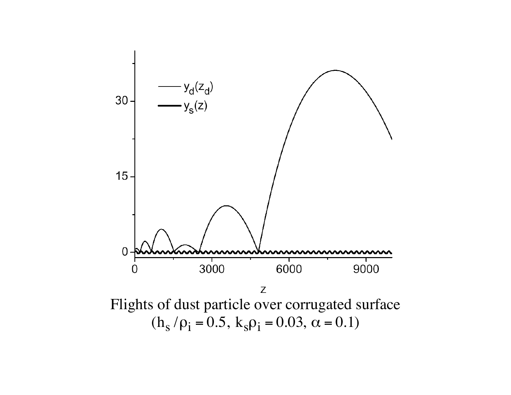

 $(h_s/\rho_i = 0.5, k_s\rho_i = 0.03, \alpha = 0.1)$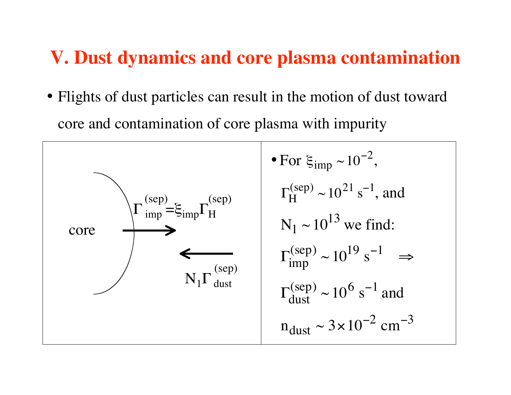### **V. Dust dynamics and core plasma contamination**

• Flights of dust particles can result in the motion of dust toward core and contamination of core plasma with impurity

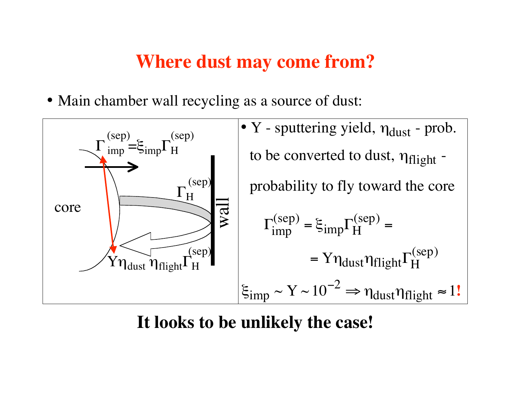### **Where dust may come from?**

• Main chamber wall recycling as a source of dust:



**It looks to be unlikely the case!**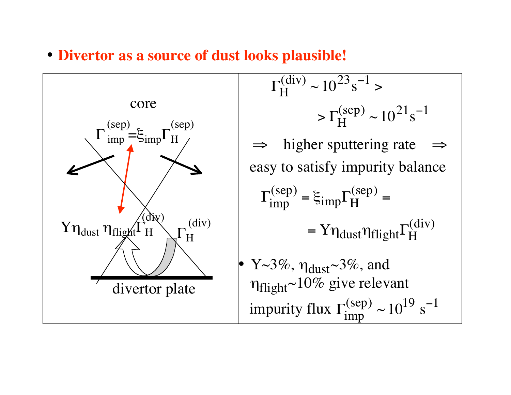• **Divertor as a source of dust looks plausible!**



$$
\Gamma_{\rm H}^{\rm (div)} \sim 10^{23} \text{s}^{-1} >
$$
\n
$$
> \Gamma_{\rm H}^{\rm (sep)} \sim 10^{21} \text{s}^{-1}
$$
\n
$$
\Rightarrow \text{ higher sputtering rate} \Rightarrow
$$
\neasy to satisfy impurity balance\n
$$
\Gamma_{\rm imp}^{\rm (sep)} = \xi_{\rm imp} \Gamma_{\rm H}^{\rm (sep)} =
$$
\n
$$
= \Upsilon \eta_{\rm dust} \eta_{\rm flight} \Gamma_{\rm H}^{\rm (div)}
$$
\n
$$
\Upsilon \sim 3\%, \eta_{\rm dust} \sim 3\%, \text{ and}
$$
\n
$$
\eta_{\rm flight} \sim 10\% \text{ give relevant}
$$
\n
$$
\text{impurity flux } \Gamma_{\rm imp}^{\rm (sep)} \sim 10^{19} \text{ s}^{-1}
$$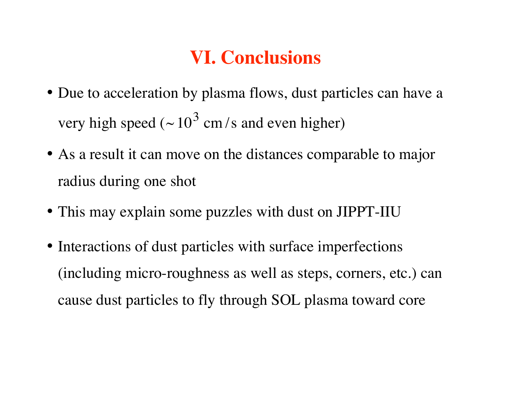# **VI. Conclusions**

- Due to acceleration by plasma flows, dust particles can have a very high speed ( $\sim 10^3$  cm/s and even higher)
- As a result it can move on the distances comparable to major radius during one shot
- This may explain some puzzles with dust on JIPPT-IIU
- Interactions of dust particles with surface imperfections (including micro-roughness as well as steps, corners, etc.) can cause dust particles to fly through SOL plasma toward core